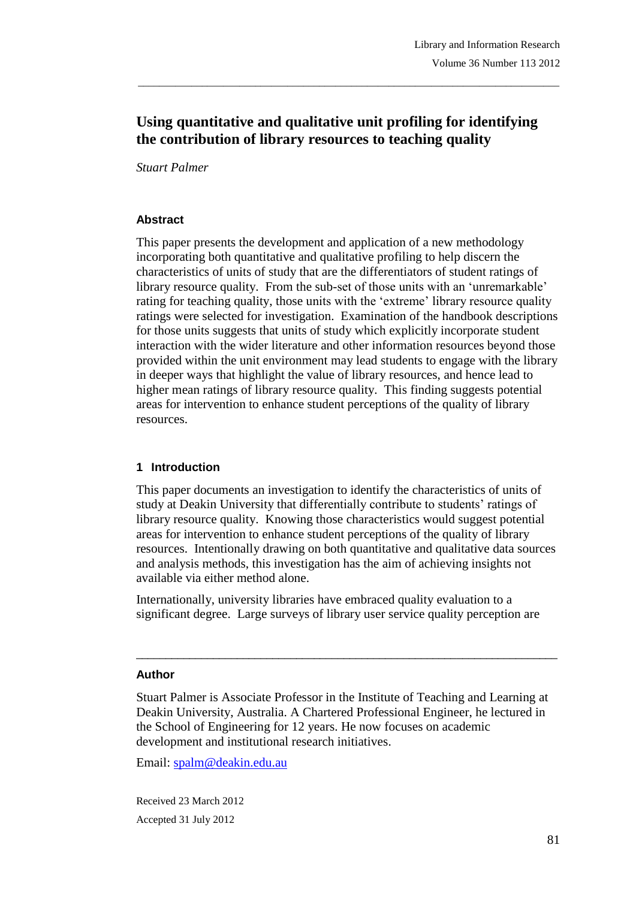# **Using quantitative and qualitative unit profiling for identifying the contribution of library resources to teaching quality**

\_\_\_\_\_\_\_\_\_\_\_\_\_\_\_\_\_\_\_\_\_\_\_\_\_\_\_\_\_\_\_\_\_\_\_\_\_\_\_\_\_\_\_\_\_\_\_\_\_\_\_\_\_\_\_\_\_\_\_\_\_\_\_\_\_\_\_\_\_\_\_\_\_\_\_\_\_\_\_

*Stuart Palmer*

#### **Abstract**

This paper presents the development and application of a new methodology incorporating both quantitative and qualitative profiling to help discern the characteristics of units of study that are the differentiators of student ratings of library resource quality. From the sub-set of those units with an 'unremarkable' rating for teaching quality, those units with the 'extreme' library resource quality ratings were selected for investigation. Examination of the handbook descriptions for those units suggests that units of study which explicitly incorporate student interaction with the wider literature and other information resources beyond those provided within the unit environment may lead students to engage with the library in deeper ways that highlight the value of library resources, and hence lead to higher mean ratings of library resource quality. This finding suggests potential areas for intervention to enhance student perceptions of the quality of library resources.

## **1 Introduction**

This paper documents an investigation to identify the characteristics of units of study at Deakin University that differentially contribute to students' ratings of library resource quality. Knowing those characteristics would suggest potential areas for intervention to enhance student perceptions of the quality of library resources. Intentionally drawing on both quantitative and qualitative data sources and analysis methods, this investigation has the aim of achieving insights not available via either method alone.

Internationally, university libraries have embraced quality evaluation to a significant degree. Large surveys of library user service quality perception are

#### **Author**

Stuart Palmer is Associate Professor in the Institute of Teaching and Learning at Deakin University, Australia. A Chartered Professional Engineer, he lectured in the School of Engineering for 12 years. He now focuses on academic development and institutional research initiatives.

\_\_\_\_\_\_\_\_\_\_\_\_\_\_\_\_\_\_\_\_\_\_\_\_\_\_\_\_\_\_\_\_\_\_\_\_\_\_\_\_\_\_\_\_\_\_\_\_\_\_\_\_\_\_\_\_\_\_\_\_\_\_\_\_\_\_\_\_\_\_\_

Email: spalm@deakin.edu.au

Received 23 March 2012 Accepted 31 July 2012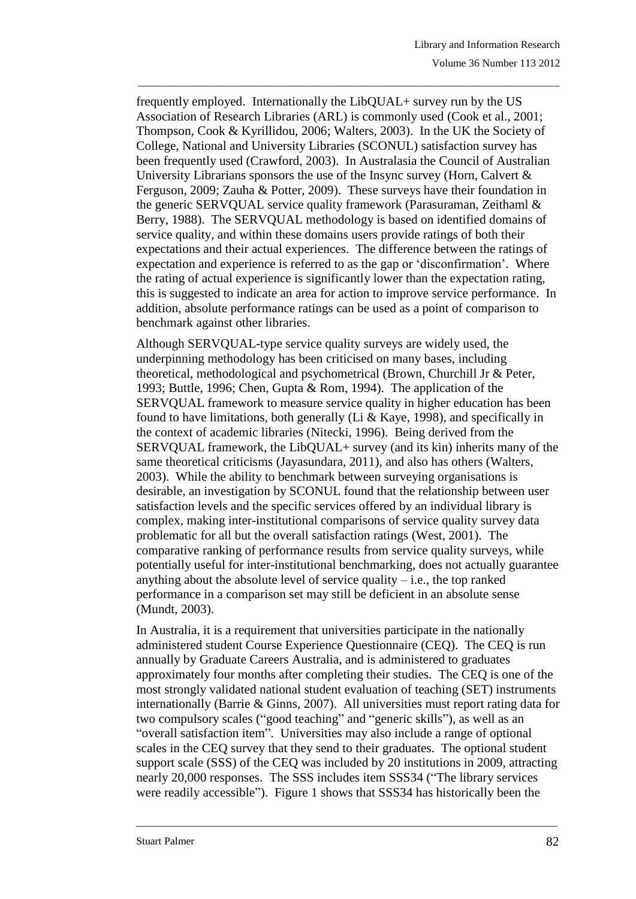frequently employed. Internationally the LibQUAL+ survey run by the US Association of Research Libraries (ARL) is commonly used (Cook et [al., 2001;](#page-15-0) [Thompson, Cook & Kyrillidou, 2006;](#page-17-0) [Walters, 2003\)](#page-17-1). In the UK the Society of College, National and University Libraries (SCONUL) satisfaction survey has been frequently used [\(Crawford, 2003\)](#page-15-1). In Australasia the Council of Australian University Librarians sponsors the use of the Insync survey (Horn, Calvert  $\&$ [Ferguson, 2009;](#page-16-0) [Zauha & Potter, 2009\)](#page-17-2). These surveys have their foundation in the generic SERVQUAL service quality framework [\(Parasuraman, Zeithaml &](#page-17-3)  [Berry, 1988\)](#page-17-3). The SERVQUAL methodology is based on identified domains of service quality, and within these domains users provide ratings of both their expectations and their actual experiences. The difference between the ratings of expectation and experience is referred to as the gap or 'disconfirmation'. Where the rating of actual experience is significantly lower than the expectation rating, this is suggested to indicate an area for action to improve service performance. In addition, absolute performance ratings can be used as a point of comparison to benchmark against other libraries.

\_\_\_\_\_\_\_\_\_\_\_\_\_\_\_\_\_\_\_\_\_\_\_\_\_\_\_\_\_\_\_\_\_\_\_\_\_\_\_\_\_\_\_\_\_\_\_\_\_\_\_\_\_\_\_\_\_\_\_\_\_\_\_\_\_\_\_\_\_\_\_\_\_\_\_\_\_\_\_

Although SERVQUAL-type service quality surveys are widely used, the underpinning methodology has been criticised on many bases, including theoretical, methodological and psychometrical [\(Brown, Churchill Jr & Peter,](#page-15-2)  [1993;](#page-15-2) [Buttle, 1996;](#page-15-3) [Chen, Gupta & Rom, 1994\)](#page-15-4). The application of the SERVQUAL framework to measure service quality in higher education has been found to have limitations, both generally [\(Li & Kaye, 1998\)](#page-16-1), and specifically in the context of academic libraries [\(Nitecki, 1996\)](#page-16-2). Being derived from the SERVQUAL framework, the LibQUAL+ survey (and its kin) inherits many of the same theoretical criticisms [\(Jayasundara, 2011\)](#page-16-3), and also has others [\(Walters,](#page-17-1)  [2003\)](#page-17-1). While the ability to benchmark between surveying organisations is desirable, an investigation by SCONUL found that the relationship between user satisfaction levels and the specific services offered by an individual library is complex, making inter-institutional comparisons of service quality survey data problematic for all but the overall satisfaction ratings [\(West, 2001\)](#page-17-4). The comparative ranking of performance results from service quality surveys, while potentially useful for inter-institutional benchmarking, does not actually guarantee anything about the absolute level of service quality  $-$  i.e., the top ranked performance in a comparison set may still be deficient in an absolute sense [\(Mundt, 2003\)](#page-16-4).

In Australia, it is a requirement that universities participate in the nationally administered student Course Experience Questionnaire (CEQ). The CEQ is run annually by Graduate Careers Australia, and is administered to graduates approximately four months after completing their studies. The CEQ is one of the most strongly validated national student evaluation of teaching (SET) instruments internationally [\(Barrie & Ginns, 2007\)](#page-15-5). All universities must report rating data for two compulsory scales ("good teaching" and "generic skills"), as well as an "overall satisfaction item". Universities may also include a range of optional scales in the CEQ survey that they send to their graduates. The optional student support scale (SSS) of the CEQ was included by 20 institutions in 2009, attracting nearly 20,000 responses. The SSS includes item SSS34 ("The library services were readily accessible"). Figure 1 shows that SSS34 has historically been the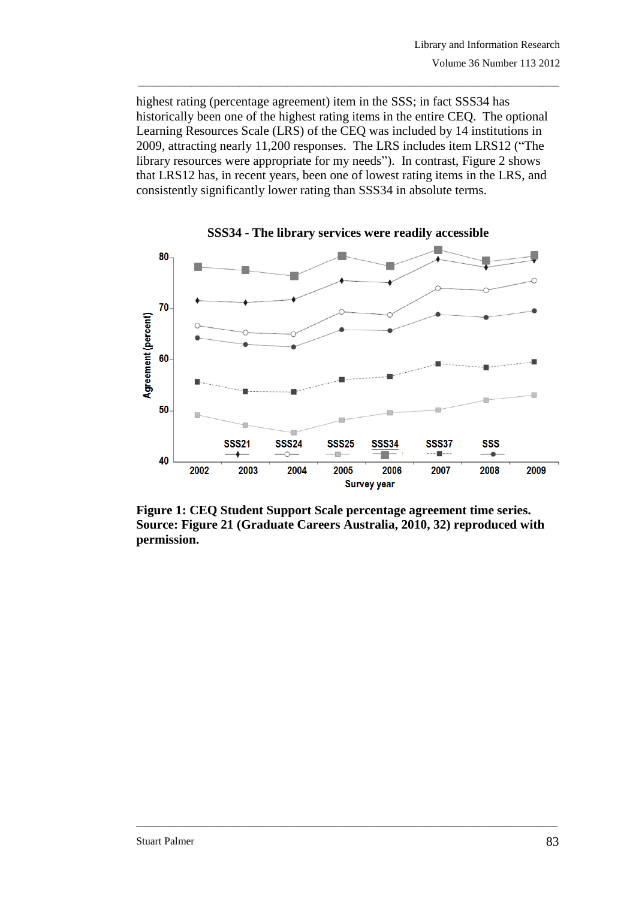highest rating (percentage agreement) item in the SSS; in fact SSS34 has historically been one of the highest rating items in the entire CEQ. The optional Learning Resources Scale (LRS) of the CEQ was included by 14 institutions in 2009, attracting nearly 11,200 responses. The LRS includes item LRS12 ("The library resources were appropriate for my needs"). In contrast, Figure 2 shows that LRS12 has, in recent years, been one of lowest rating items in the LRS, and consistently significantly lower rating than SSS34 in absolute terms.

\_\_\_\_\_\_\_\_\_\_\_\_\_\_\_\_\_\_\_\_\_\_\_\_\_\_\_\_\_\_\_\_\_\_\_\_\_\_\_\_\_\_\_\_\_\_\_\_\_\_\_\_\_\_\_\_\_\_\_\_\_\_\_\_\_\_\_\_\_\_\_\_\_\_\_\_\_\_\_





**Figure 1: CEQ Student Support Scale percentage agreement time series. Source: Figure 21 [\(Graduate Careers Australia, 2010, 32\)](#page-16-5) reproduced with permission.**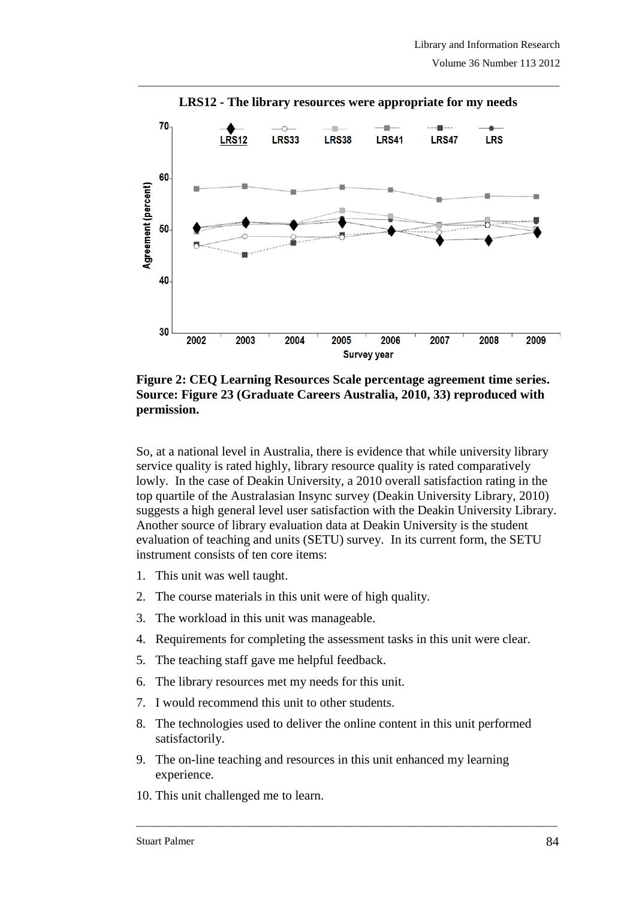

\_\_\_\_\_\_\_\_\_\_\_\_\_\_\_\_\_\_\_\_\_\_\_\_\_\_\_\_\_\_\_\_\_\_\_\_\_\_\_\_\_\_\_\_\_\_\_\_\_\_\_\_\_\_\_\_\_\_\_\_\_\_\_\_\_\_\_\_\_\_\_\_\_\_\_\_\_\_\_ **LRS12 - The library resources were appropriate for my needs**

**Figure 2: CEQ Learning Resources Scale percentage agreement time series. Source: Figure 23 [\(Graduate Careers Australia, 2010, 33\)](#page-16-5) reproduced with permission.**

So, at a national level in Australia, there is evidence that while university library service quality is rated highly, library resource quality is rated comparatively lowly. In the case of Deakin University, a 2010 overall satisfaction rating in the top quartile of the Australasian Insync survey (Deakin University Library, 2010) suggests a high general level user satisfaction with the Deakin University Library. Another source of library evaluation data at Deakin University is the student evaluation of teaching and units (SETU) survey. In its current form, the SETU instrument consists of ten core items:

- 1. This unit was well taught.
- 2. The course materials in this unit were of high quality.
- 3. The workload in this unit was manageable.
- 4. Requirements for completing the assessment tasks in this unit were clear.
- 5. The teaching staff gave me helpful feedback.
- 6. The library resources met my needs for this unit.
- 7. I would recommend this unit to other students.
- 8. The technologies used to deliver the online content in this unit performed satisfactorily.

- 9. The on-line teaching and resources in this unit enhanced my learning experience.
- 10. This unit challenged me to learn.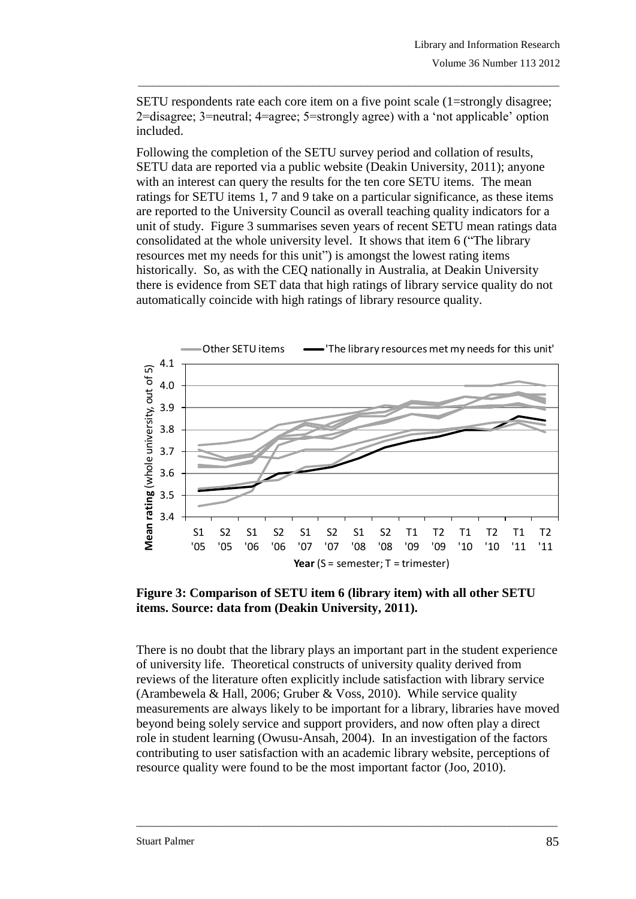SETU respondents rate each core item on a five point scale (1=strongly disagree; 2=disagree; 3=neutral; 4=agree; 5=strongly agree) with a 'not applicable' option included.

\_\_\_\_\_\_\_\_\_\_\_\_\_\_\_\_\_\_\_\_\_\_\_\_\_\_\_\_\_\_\_\_\_\_\_\_\_\_\_\_\_\_\_\_\_\_\_\_\_\_\_\_\_\_\_\_\_\_\_\_\_\_\_\_\_\_\_\_\_\_\_\_\_\_\_\_\_\_\_

Following the completion of the SETU survey period and collation of results, SETU data are reported via a public website [\(Deakin University, 2011\)](#page-16-6); anyone with an interest can query the results for the ten core SETU items. The mean ratings for SETU items 1, 7 and 9 take on a particular significance, as these items are reported to the University Council as overall teaching quality indicators for a unit of study. Figure 3 summarises seven years of recent SETU mean ratings data consolidated at the whole university level. It shows that item 6 ("The library resources met my needs for this unit") is amongst the lowest rating items historically. So, as with the CEQ nationally in Australia, at Deakin University there is evidence from SET data that high ratings of library service quality do not automatically coincide with high ratings of library resource quality.



**Figure 3: Comparison of SETU item 6 (library item) with all other SETU items. Source: data from [\(Deakin University, 2011\)](#page-16-6).**

There is no doubt that the library plays an important part in the student experience of university life. Theoretical constructs of university quality derived from reviews of the literature often explicitly include satisfaction with library service [\(Arambewela & Hall, 2006;](#page-15-6) [Gruber & Voss, 2010\)](#page-16-7). While service quality measurements are always likely to be important for a library, libraries have moved beyond being solely service and support providers, and now often play a direct role in student learning [\(Owusu-Ansah, 2004\)](#page-16-8). In an investigation of the factors contributing to user satisfaction with an academic library website, perceptions of resource quality were found to be the most important factor [\(Joo, 2010\)](#page-16-9).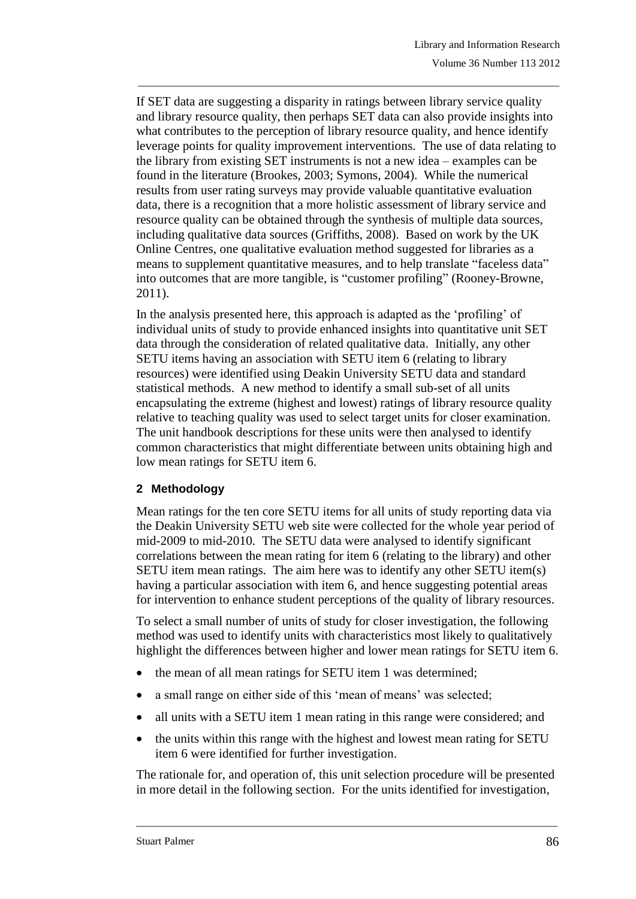If SET data are suggesting a disparity in ratings between library service quality and library resource quality, then perhaps SET data can also provide insights into what contributes to the perception of library resource quality, and hence identify leverage points for quality improvement interventions. The use of data relating to the library from existing SET instruments is not a new idea – examples can be found in the literature [\(Brookes, 2003;](#page-15-7) [Symons, 2004\)](#page-17-5). While the numerical results from user rating surveys may provide valuable quantitative evaluation data, there is a recognition that a more holistic assessment of library service and resource quality can be obtained through the synthesis of multiple data sources, including qualitative data sources [\(Griffiths, 2008\)](#page-16-10). Based on work by the UK Online Centres, one qualitative evaluation method suggested for libraries as a means to supplement quantitative measures, and to help translate "faceless data" into outcomes that are more tangible, is "customer profiling" [\(Rooney-Browne,](#page-17-6)  [2011\)](#page-17-6).

\_\_\_\_\_\_\_\_\_\_\_\_\_\_\_\_\_\_\_\_\_\_\_\_\_\_\_\_\_\_\_\_\_\_\_\_\_\_\_\_\_\_\_\_\_\_\_\_\_\_\_\_\_\_\_\_\_\_\_\_\_\_\_\_\_\_\_\_\_\_\_\_\_\_\_\_\_\_\_

In the analysis presented here, this approach is adapted as the 'profiling' of individual units of study to provide enhanced insights into quantitative unit SET data through the consideration of related qualitative data. Initially, any other SETU items having an association with SETU item 6 (relating to library resources) were identified using Deakin University SETU data and standard statistical methods. A new method to identify a small sub-set of all units encapsulating the extreme (highest and lowest) ratings of library resource quality relative to teaching quality was used to select target units for closer examination. The unit handbook descriptions for these units were then analysed to identify common characteristics that might differentiate between units obtaining high and low mean ratings for SETU item 6.

# **2 Methodology**

Mean ratings for the ten core SETU items for all units of study reporting data via the Deakin University SETU web site were collected for the whole year period of mid-2009 to mid-2010. The SETU data were analysed to identify significant correlations between the mean rating for item 6 (relating to the library) and other SETU item mean ratings. The aim here was to identify any other SETU item(s) having a particular association with item 6, and hence suggesting potential areas for intervention to enhance student perceptions of the quality of library resources.

To select a small number of units of study for closer investigation, the following method was used to identify units with characteristics most likely to qualitatively highlight the differences between higher and lower mean ratings for SETU item 6.

- the mean of all mean ratings for SETU item 1 was determined;
- a small range on either side of this 'mean of means' was selected;
- all units with a SETU item 1 mean rating in this range were considered; and
- the units within this range with the highest and lowest mean rating for SETU item 6 were identified for further investigation.

The rationale for, and operation of, this unit selection procedure will be presented in more detail in the following section. For the units identified for investigation,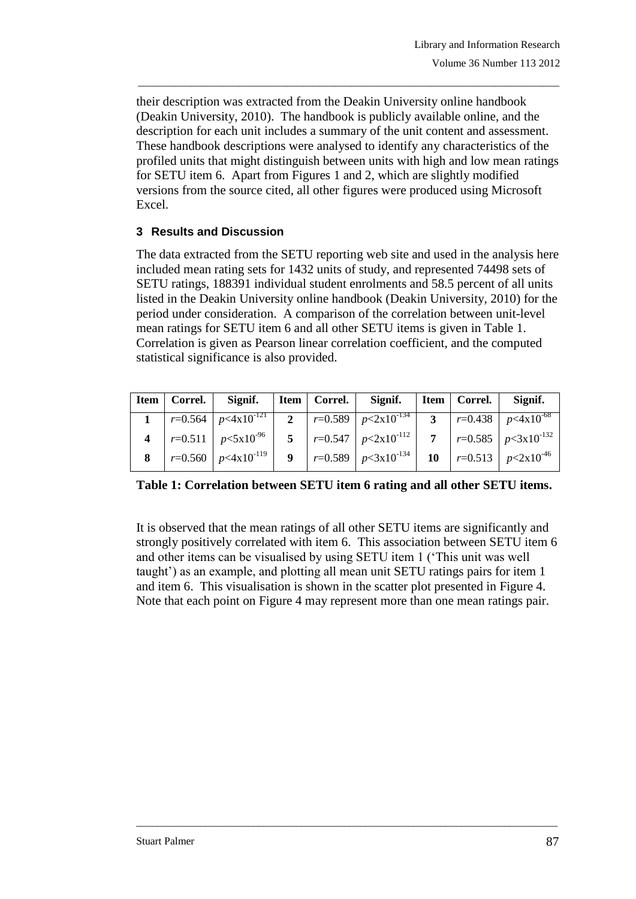their description was extracted from the Deakin University online handbook [\(Deakin University, 2010\)](#page-16-11). The handbook is publicly available online, and the description for each unit includes a summary of the unit content and assessment. These handbook descriptions were analysed to identify any characteristics of the profiled units that might distinguish between units with high and low mean ratings for SETU item 6. Apart from Figures 1 and 2, which are slightly modified versions from the source cited, all other figures were produced using Microsoft Excel.

\_\_\_\_\_\_\_\_\_\_\_\_\_\_\_\_\_\_\_\_\_\_\_\_\_\_\_\_\_\_\_\_\_\_\_\_\_\_\_\_\_\_\_\_\_\_\_\_\_\_\_\_\_\_\_\_\_\_\_\_\_\_\_\_\_\_\_\_\_\_\_\_\_\_\_\_\_\_\_

# **3 Results and Discussion**

The data extracted from the SETU reporting web site and used in the analysis here included mean rating sets for 1432 units of study, and represented 74498 sets of SETU ratings, 188391 individual student enrolments and 58.5 percent of all units listed in the Deakin University online handbook [\(Deakin University, 2010\)](#page-16-11) for the period under consideration. A comparison of the correlation between unit-level mean ratings for SETU item 6 and all other SETU items is given in Table 1. Correlation is given as Pearson linear correlation coefficient, and the computed statistical significance is also provided.

|  | Item   Correl.   Signif.   Item   Correl.   Signif.   Item   Correl.   Signif.                       |  |                                                                   |  |  |
|--|------------------------------------------------------------------------------------------------------|--|-------------------------------------------------------------------|--|--|
|  | 1   $r=0.564$   $p<4x10^{-121}$   2   $r=0.589$   $p<2x10^{-134}$   3   $r=0.438$   $p<4x10^{-68}$   |  |                                                                   |  |  |
|  | 4   $r=0.511$   $p<5x10^{-96}$   5   $r=0.547$   $p<2x10^{-112}$   $7$   $r=0.585$   $p<3x10^{-132}$ |  |                                                                   |  |  |
|  | $r=0.560$   $p<4x10^{-119}$                                                                          |  | 9   $r=0.589$   $p<3x10^{-134}$   10   $r=0.513$   $p<2x10^{-46}$ |  |  |

**Table 1: Correlation between SETU item 6 rating and all other SETU items.**

It is observed that the mean ratings of all other SETU items are significantly and strongly positively correlated with item 6. This association between SETU item 6 and other items can be visualised by using SETU item 1 ('This unit was well taught') as an example, and plotting all mean unit SETU ratings pairs for item 1 and item 6. This visualisation is shown in the scatter plot presented in Figure 4. Note that each point on Figure 4 may represent more than one mean ratings pair.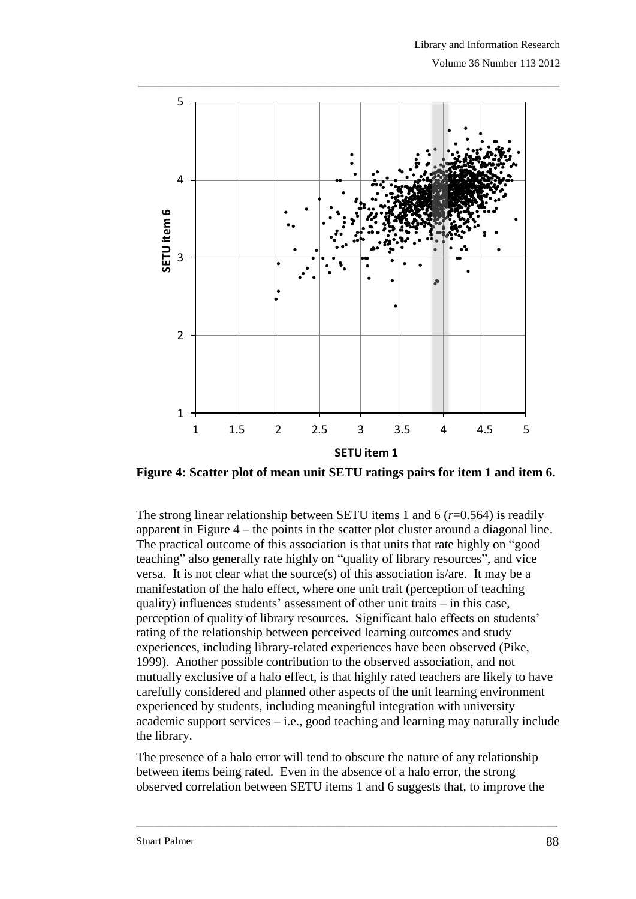

\_\_\_\_\_\_\_\_\_\_\_\_\_\_\_\_\_\_\_\_\_\_\_\_\_\_\_\_\_\_\_\_\_\_\_\_\_\_\_\_\_\_\_\_\_\_\_\_\_\_\_\_\_\_\_\_\_\_\_\_\_\_\_\_\_\_\_\_\_\_\_\_\_\_\_\_\_\_\_

**Figure 4: Scatter plot of mean unit SETU ratings pairs for item 1 and item 6.**

The strong linear relationship between SETU items 1 and 6 (*r*=0.564) is readily apparent in Figure 4 – the points in the scatter plot cluster around a diagonal line. The practical outcome of this association is that units that rate highly on "good teaching" also generally rate highly on "quality of library resources", and vice versa. It is not clear what the source(s) of this association is/are. It may be a manifestation of the halo effect, where one unit trait (perception of teaching quality) influences students' assessment of other unit traits – in this case, perception of quality of library resources. Significant halo effects on students' rating of the relationship between perceived learning outcomes and study experiences, including library-related experiences have been observed [\(Pike,](#page-17-7)  [1999\)](#page-17-7). Another possible contribution to the observed association, and not mutually exclusive of a halo effect, is that highly rated teachers are likely to have carefully considered and planned other aspects of the unit learning environment experienced by students, including meaningful integration with university academic support services – i.e., good teaching and learning may naturally include the library.

The presence of a halo error will tend to obscure the nature of any relationship between items being rated. Even in the absence of a halo error, the strong observed correlation between SETU items 1 and 6 suggests that, to improve the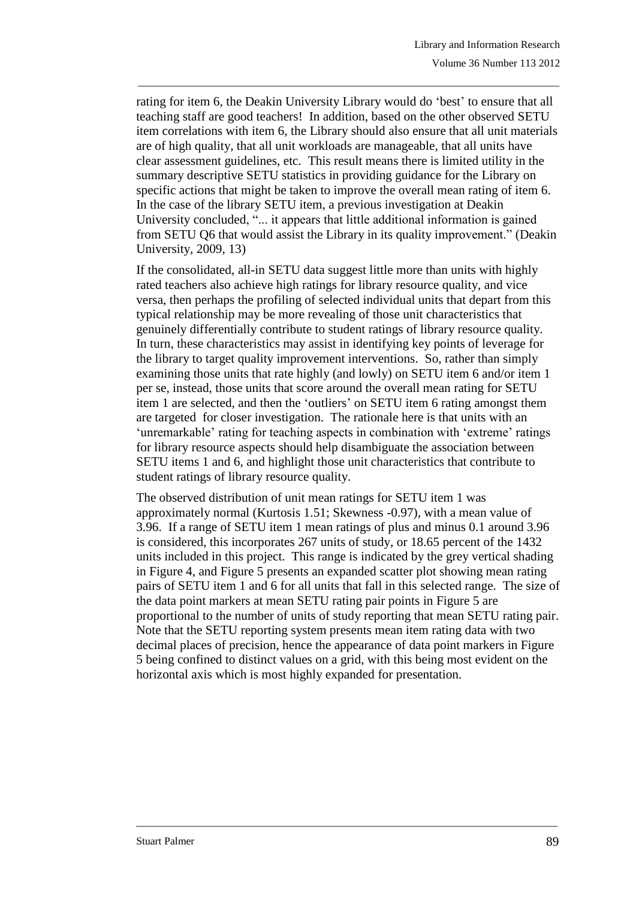rating for item 6, the Deakin University Library would do 'best' to ensure that all teaching staff are good teachers! In addition, based on the other observed SETU item correlations with item 6, the Library should also ensure that all unit materials are of high quality, that all unit workloads are manageable, that all units have clear assessment guidelines, etc. This result means there is limited utility in the summary descriptive SETU statistics in providing guidance for the Library on specific actions that might be taken to improve the overall mean rating of item 6. In the case of the library SETU item, a previous investigation at Deakin University concluded, "... it appears that little additional information is gained from SETU Q6 that would assist the Library in its quality improvement." [\(Deakin](#page-15-8)  [University, 2009, 13\)](#page-15-8)

\_\_\_\_\_\_\_\_\_\_\_\_\_\_\_\_\_\_\_\_\_\_\_\_\_\_\_\_\_\_\_\_\_\_\_\_\_\_\_\_\_\_\_\_\_\_\_\_\_\_\_\_\_\_\_\_\_\_\_\_\_\_\_\_\_\_\_\_\_\_\_\_\_\_\_\_\_\_\_

If the consolidated, all-in SETU data suggest little more than units with highly rated teachers also achieve high ratings for library resource quality, and vice versa, then perhaps the profiling of selected individual units that depart from this typical relationship may be more revealing of those unit characteristics that genuinely differentially contribute to student ratings of library resource quality. In turn, these characteristics may assist in identifying key points of leverage for the library to target quality improvement interventions. So, rather than simply examining those units that rate highly (and lowly) on SETU item 6 and/or item 1 per se, instead, those units that score around the overall mean rating for SETU item 1 are selected, and then the 'outliers' on SETU item 6 rating amongst them are targeted for closer investigation. The rationale here is that units with an 'unremarkable' rating for teaching aspects in combination with 'extreme' ratings for library resource aspects should help disambiguate the association between SETU items 1 and 6, and highlight those unit characteristics that contribute to student ratings of library resource quality.

The observed distribution of unit mean ratings for SETU item 1 was approximately normal (Kurtosis 1.51; Skewness -0.97), with a mean value of 3.96. If a range of SETU item 1 mean ratings of plus and minus 0.1 around 3.96 is considered, this incorporates 267 units of study, or 18.65 percent of the 1432 units included in this project. This range is indicated by the grey vertical shading in Figure 4, and Figure 5 presents an expanded scatter plot showing mean rating pairs of SETU item 1 and 6 for all units that fall in this selected range. The size of the data point markers at mean SETU rating pair points in Figure 5 are proportional to the number of units of study reporting that mean SETU rating pair. Note that the SETU reporting system presents mean item rating data with two decimal places of precision, hence the appearance of data point markers in Figure 5 being confined to distinct values on a grid, with this being most evident on the horizontal axis which is most highly expanded for presentation.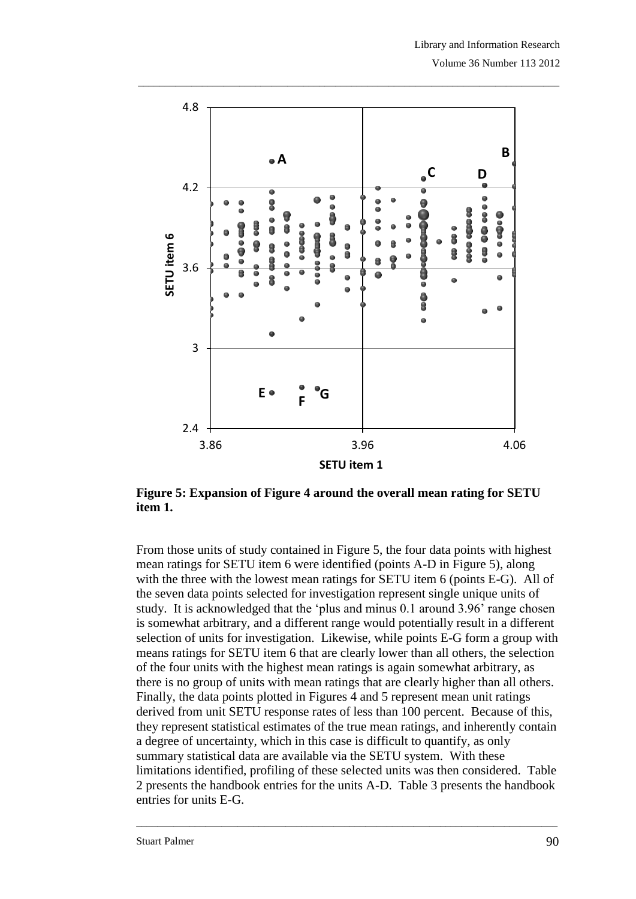

**Figure 5: Expansion of Figure 4 around the overall mean rating for SETU item 1.**

From those units of study contained in Figure 5, the four data points with highest mean ratings for SETU item 6 were identified (points A-D in Figure 5), along with the three with the lowest mean ratings for SETU item 6 (points E-G). All of the seven data points selected for investigation represent single unique units of study. It is acknowledged that the 'plus and minus 0.1 around 3.96' range chosen is somewhat arbitrary, and a different range would potentially result in a different selection of units for investigation. Likewise, while points E-G form a group with means ratings for SETU item 6 that are clearly lower than all others, the selection of the four units with the highest mean ratings is again somewhat arbitrary, as there is no group of units with mean ratings that are clearly higher than all others. Finally, the data points plotted in Figures 4 and 5 represent mean unit ratings derived from unit SETU response rates of less than 100 percent. Because of this, they represent statistical estimates of the true mean ratings, and inherently contain a degree of uncertainty, which in this case is difficult to quantify, as only summary statistical data are available via the SETU system. With these limitations identified, profiling of these selected units was then considered. Table 2 presents the handbook entries for the units A-D. Table 3 presents the handbook entries for units E-G.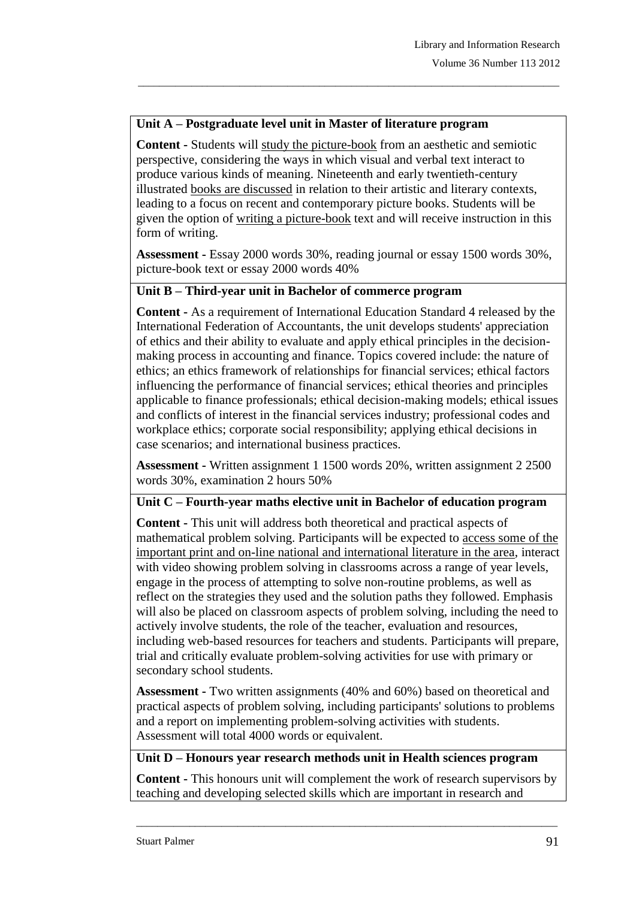## **Unit A – Postgraduate level unit in Master of literature program**

**Content -** Students will study the picture-book from an aesthetic and semiotic perspective, considering the ways in which visual and verbal text interact to produce various kinds of meaning. Nineteenth and early twentieth-century illustrated books are discussed in relation to their artistic and literary contexts, leading to a focus on recent and contemporary picture books. Students will be given the option of writing a picture-book text and will receive instruction in this form of writing.

\_\_\_\_\_\_\_\_\_\_\_\_\_\_\_\_\_\_\_\_\_\_\_\_\_\_\_\_\_\_\_\_\_\_\_\_\_\_\_\_\_\_\_\_\_\_\_\_\_\_\_\_\_\_\_\_\_\_\_\_\_\_\_\_\_\_\_\_\_\_\_\_\_\_\_\_\_\_\_

**Assessment -** Essay 2000 words 30%, reading journal or essay 1500 words 30%, picture-book text or essay 2000 words 40%

#### **Unit B – Third-year unit in Bachelor of commerce program**

**Content -** As a requirement of International Education Standard 4 released by the International Federation of Accountants, the unit develops students' appreciation of ethics and their ability to evaluate and apply ethical principles in the decisionmaking process in accounting and finance. Topics covered include: the nature of ethics; an ethics framework of relationships for financial services; ethical factors influencing the performance of financial services; ethical theories and principles applicable to finance professionals; ethical decision-making models; ethical issues and conflicts of interest in the financial services industry; professional codes and workplace ethics; corporate social responsibility; applying ethical decisions in case scenarios; and international business practices.

**Assessment -** Written assignment 1 1500 words 20%, written assignment 2 2500 words 30%, examination 2 hours 50%

#### **Unit C – Fourth-year maths elective unit in Bachelor of education program**

**Content -** This unit will address both theoretical and practical aspects of mathematical problem solving. Participants will be expected to access some of the important print and on-line national and international literature in the area, interact with video showing problem solving in classrooms across a range of year levels, engage in the process of attempting to solve non-routine problems, as well as reflect on the strategies they used and the solution paths they followed. Emphasis will also be placed on classroom aspects of problem solving, including the need to actively involve students, the role of the teacher, evaluation and resources, including web-based resources for teachers and students. Participants will prepare, trial and critically evaluate problem-solving activities for use with primary or secondary school students.

**Assessment -** Two written assignments (40% and 60%) based on theoretical and practical aspects of problem solving, including participants' solutions to problems and a report on implementing problem-solving activities with students. Assessment will total 4000 words or equivalent.

#### **Unit D – Honours year research methods unit in Health sciences program**

**Content -** This honours unit will complement the work of research supervisors by teaching and developing selected skills which are important in research and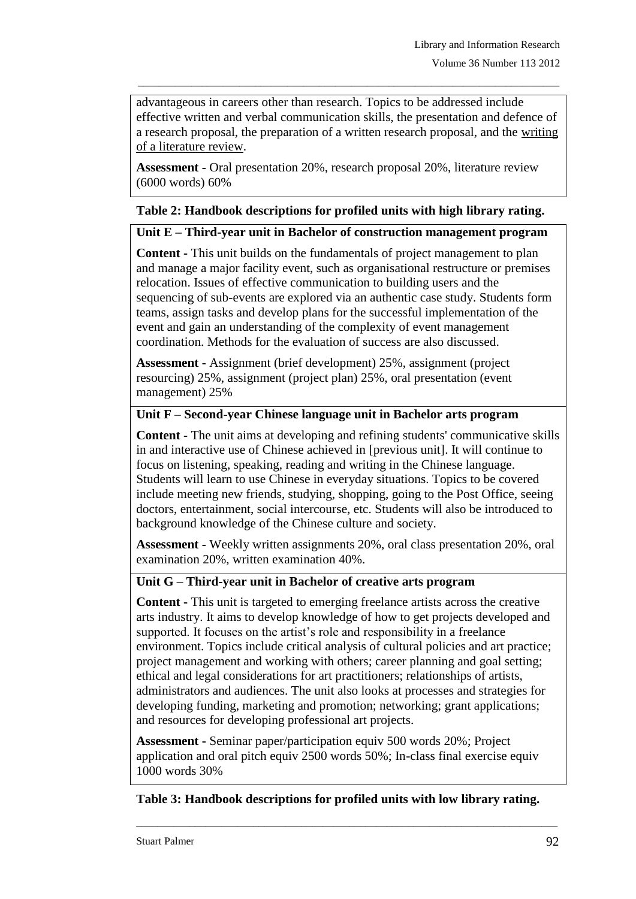advantageous in careers other than research. Topics to be addressed include effective written and verbal communication skills, the presentation and defence of a research proposal, the preparation of a written research proposal, and the writing of a literature review.

\_\_\_\_\_\_\_\_\_\_\_\_\_\_\_\_\_\_\_\_\_\_\_\_\_\_\_\_\_\_\_\_\_\_\_\_\_\_\_\_\_\_\_\_\_\_\_\_\_\_\_\_\_\_\_\_\_\_\_\_\_\_\_\_\_\_\_\_\_\_\_\_\_\_\_\_\_\_\_

**Assessment -** Oral presentation 20%, research proposal 20%, literature review (6000 words) 60%

# **Table 2: Handbook descriptions for profiled units with high library rating.**

## **Unit E – Third-year unit in Bachelor of construction management program**

**Content -** This unit builds on the fundamentals of project management to plan and manage a major facility event, such as organisational restructure or premises relocation. Issues of effective communication to building users and the sequencing of sub-events are explored via an authentic case study. Students form teams, assign tasks and develop plans for the successful implementation of the event and gain an understanding of the complexity of event management coordination. Methods for the evaluation of success are also discussed.

**Assessment -** Assignment (brief development) 25%, assignment (project resourcing) 25%, assignment (project plan) 25%, oral presentation (event management) 25%

# **Unit F – Second-year Chinese language unit in Bachelor arts program**

**Content -** The unit aims at developing and refining students' communicative skills in and interactive use of Chinese achieved in [previous unit]. It will continue to focus on listening, speaking, reading and writing in the Chinese language. Students will learn to use Chinese in everyday situations. Topics to be covered include meeting new friends, studying, shopping, going to the Post Office, seeing doctors, entertainment, social intercourse, etc. Students will also be introduced to background knowledge of the Chinese culture and society.

**Assessment -** Weekly written assignments 20%, oral class presentation 20%, oral examination 20%, written examination 40%.

## **Unit G – Third-year unit in Bachelor of creative arts program**

**Content -** This unit is targeted to emerging freelance artists across the creative arts industry. It aims to develop knowledge of how to get projects developed and supported. It focuses on the artist's role and responsibility in a freelance environment. Topics include critical analysis of cultural policies and art practice; project management and working with others; career planning and goal setting; ethical and legal considerations for art practitioners; relationships of artists, administrators and audiences. The unit also looks at processes and strategies for developing funding, marketing and promotion; networking; grant applications; and resources for developing professional art projects.

**Assessment -** Seminar paper/participation equiv 500 words 20%; Project application and oral pitch equiv 2500 words 50%; In-class final exercise equiv 1000 words 30%

# **Table 3: Handbook descriptions for profiled units with low library rating.**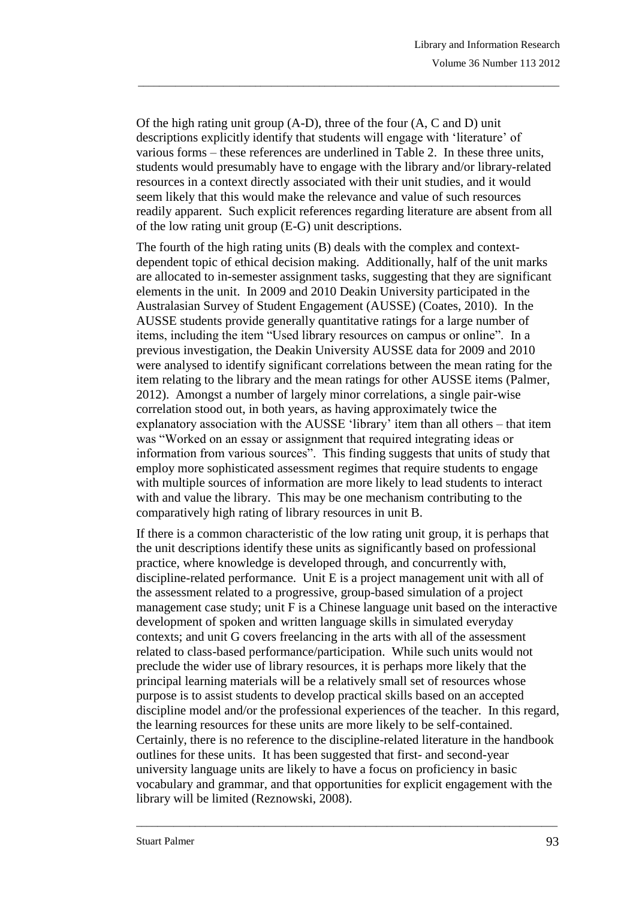Of the high rating unit group (A-D), three of the four (A, C and D) unit descriptions explicitly identify that students will engage with 'literature' of various forms – these references are underlined in Table 2. In these three units, students would presumably have to engage with the library and/or library-related resources in a context directly associated with their unit studies, and it would seem likely that this would make the relevance and value of such resources readily apparent. Such explicit references regarding literature are absent from all of the low rating unit group (E-G) unit descriptions.

\_\_\_\_\_\_\_\_\_\_\_\_\_\_\_\_\_\_\_\_\_\_\_\_\_\_\_\_\_\_\_\_\_\_\_\_\_\_\_\_\_\_\_\_\_\_\_\_\_\_\_\_\_\_\_\_\_\_\_\_\_\_\_\_\_\_\_\_\_\_\_\_\_\_\_\_\_\_\_

The fourth of the high rating units (B) deals with the complex and contextdependent topic of ethical decision making. Additionally, half of the unit marks are allocated to in-semester assignment tasks, suggesting that they are significant elements in the unit. In 2009 and 2010 Deakin University participated in the Australasian Survey of Student Engagement (AUSSE) [\(Coates, 2010\)](#page-15-9). In the AUSSE students provide generally quantitative ratings for a large number of items, including the item "Used library resources on campus or online". In a previous investigation, the Deakin University AUSSE data for 2009 and 2010 were analysed to identify significant correlations between the mean rating for the item relating to the library and the mean ratings for other AUSSE items [\(Palmer,](#page-16-12)  [2012\)](#page-16-12). Amongst a number of largely minor correlations, a single pair-wise correlation stood out, in both years, as having approximately twice the explanatory association with the AUSSE 'library' item than all others – that item was "Worked on an essay or assignment that required integrating ideas or information from various sources". This finding suggests that units of study that employ more sophisticated assessment regimes that require students to engage with multiple sources of information are more likely to lead students to interact with and value the library. This may be one mechanism contributing to the comparatively high rating of library resources in unit B.

If there is a common characteristic of the low rating unit group, it is perhaps that the unit descriptions identify these units as significantly based on professional practice, where knowledge is developed through, and concurrently with, discipline-related performance. Unit E is a project management unit with all of the assessment related to a progressive, group-based simulation of a project management case study; unit F is a Chinese language unit based on the interactive development of spoken and written language skills in simulated everyday contexts; and unit G covers freelancing in the arts with all of the assessment related to class-based performance/participation. While such units would not preclude the wider use of library resources, it is perhaps more likely that the principal learning materials will be a relatively small set of resources whose purpose is to assist students to develop practical skills based on an accepted discipline model and/or the professional experiences of the teacher. In this regard, the learning resources for these units are more likely to be self-contained. Certainly, there is no reference to the discipline-related literature in the handbook outlines for these units. It has been suggested that first- and second-year university language units are likely to have a focus on proficiency in basic vocabulary and grammar, and that opportunities for explicit engagement with the library will be limited [\(Reznowski, 2008\)](#page-17-8).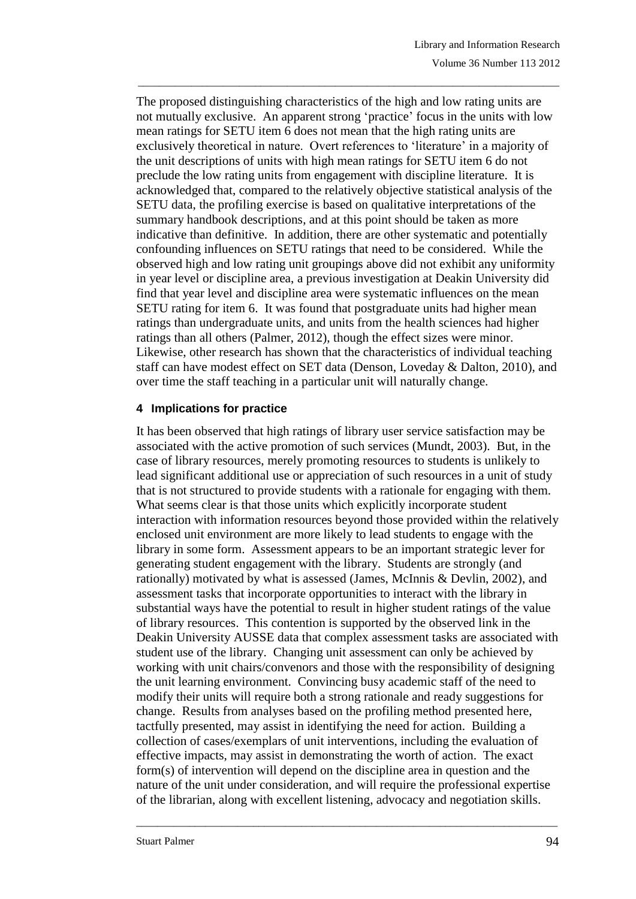The proposed distinguishing characteristics of the high and low rating units are not mutually exclusive. An apparent strong 'practice' focus in the units with low mean ratings for SETU item 6 does not mean that the high rating units are exclusively theoretical in nature. Overt references to 'literature' in a majority of the unit descriptions of units with high mean ratings for SETU item 6 do not preclude the low rating units from engagement with discipline literature. It is acknowledged that, compared to the relatively objective statistical analysis of the SETU data, the profiling exercise is based on qualitative interpretations of the summary handbook descriptions, and at this point should be taken as more indicative than definitive. In addition, there are other systematic and potentially confounding influences on SETU ratings that need to be considered. While the observed high and low rating unit groupings above did not exhibit any uniformity in year level or discipline area, a previous investigation at Deakin University did find that year level and discipline area were systematic influences on the mean SETU rating for item 6. It was found that postgraduate units had higher mean ratings than undergraduate units, and units from the health sciences had higher ratings than all others [\(Palmer, 2012\)](#page-16-12), though the effect sizes were minor. Likewise, other research has shown that the characteristics of individual teaching staff can have modest effect on SET data [\(Denson, Loveday & Dalton, 2010\)](#page-16-13), and over time the staff teaching in a particular unit will naturally change.

\_\_\_\_\_\_\_\_\_\_\_\_\_\_\_\_\_\_\_\_\_\_\_\_\_\_\_\_\_\_\_\_\_\_\_\_\_\_\_\_\_\_\_\_\_\_\_\_\_\_\_\_\_\_\_\_\_\_\_\_\_\_\_\_\_\_\_\_\_\_\_\_\_\_\_\_\_\_\_

## **4 Implications for practice**

It has been observed that high ratings of library user service satisfaction may be associated with the active promotion of such services [\(Mundt, 2003\)](#page-16-4). But, in the case of library resources, merely promoting resources to students is unlikely to lead significant additional use or appreciation of such resources in a unit of study that is not structured to provide students with a rationale for engaging with them. What seems clear is that those units which explicitly incorporate student interaction with information resources beyond those provided within the relatively enclosed unit environment are more likely to lead students to engage with the library in some form. Assessment appears to be an important strategic lever for generating student engagement with the library. Students are strongly (and rationally) motivated by what is assessed [\(James, McInnis & Devlin, 2002\)](#page-16-14), and assessment tasks that incorporate opportunities to interact with the library in substantial ways have the potential to result in higher student ratings of the value of library resources. This contention is supported by the observed link in the Deakin University AUSSE data that complex assessment tasks are associated with student use of the library. Changing unit assessment can only be achieved by working with unit chairs/convenors and those with the responsibility of designing the unit learning environment. Convincing busy academic staff of the need to modify their units will require both a strong rationale and ready suggestions for change. Results from analyses based on the profiling method presented here, tactfully presented, may assist in identifying the need for action. Building a collection of cases/exemplars of unit interventions, including the evaluation of effective impacts, may assist in demonstrating the worth of action. The exact form(s) of intervention will depend on the discipline area in question and the nature of the unit under consideration, and will require the professional expertise of the librarian, along with excellent listening, advocacy and negotiation skills.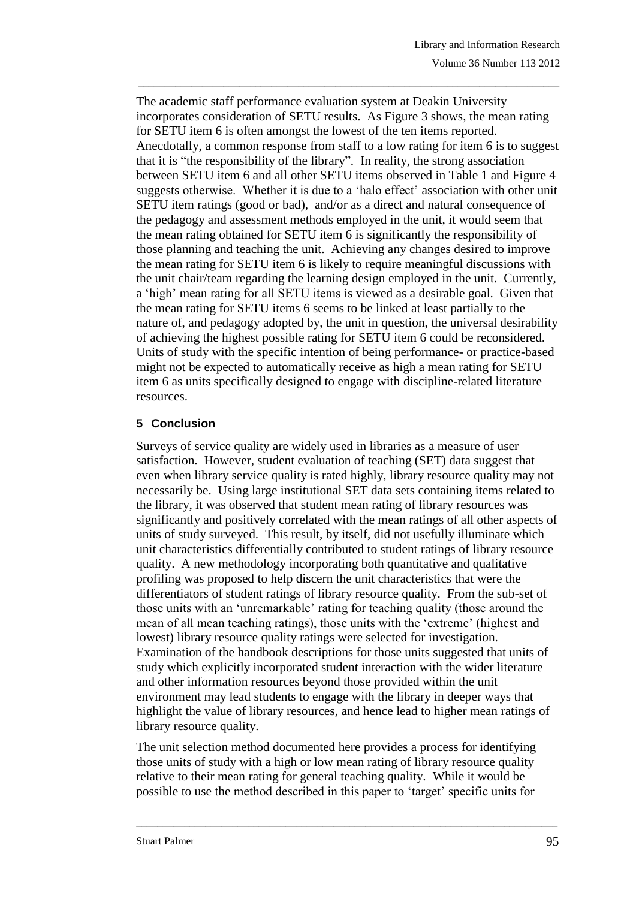The academic staff performance evaluation system at Deakin University incorporates consideration of SETU results. As Figure 3 shows, the mean rating for SETU item 6 is often amongst the lowest of the ten items reported. Anecdotally, a common response from staff to a low rating for item 6 is to suggest that it is "the responsibility of the library". In reality, the strong association between SETU item 6 and all other SETU items observed in Table 1 and Figure 4 suggests otherwise. Whether it is due to a 'halo effect' association with other unit SETU item ratings (good or bad), and/or as a direct and natural consequence of the pedagogy and assessment methods employed in the unit, it would seem that the mean rating obtained for SETU item 6 is significantly the responsibility of those planning and teaching the unit. Achieving any changes desired to improve the mean rating for SETU item 6 is likely to require meaningful discussions with the unit chair/team regarding the learning design employed in the unit. Currently, a 'high' mean rating for all SETU items is viewed as a desirable goal. Given that the mean rating for SETU items 6 seems to be linked at least partially to the nature of, and pedagogy adopted by, the unit in question, the universal desirability of achieving the highest possible rating for SETU item 6 could be reconsidered. Units of study with the specific intention of being performance- or practice-based might not be expected to automatically receive as high a mean rating for SETU item 6 as units specifically designed to engage with discipline-related literature resources.

\_\_\_\_\_\_\_\_\_\_\_\_\_\_\_\_\_\_\_\_\_\_\_\_\_\_\_\_\_\_\_\_\_\_\_\_\_\_\_\_\_\_\_\_\_\_\_\_\_\_\_\_\_\_\_\_\_\_\_\_\_\_\_\_\_\_\_\_\_\_\_\_\_\_\_\_\_\_\_

# **5 Conclusion**

Surveys of service quality are widely used in libraries as a measure of user satisfaction. However, student evaluation of teaching (SET) data suggest that even when library service quality is rated highly, library resource quality may not necessarily be. Using large institutional SET data sets containing items related to the library, it was observed that student mean rating of library resources was significantly and positively correlated with the mean ratings of all other aspects of units of study surveyed. This result, by itself, did not usefully illuminate which unit characteristics differentially contributed to student ratings of library resource quality. A new methodology incorporating both quantitative and qualitative profiling was proposed to help discern the unit characteristics that were the differentiators of student ratings of library resource quality. From the sub-set of those units with an 'unremarkable' rating for teaching quality (those around the mean of all mean teaching ratings), those units with the 'extreme' (highest and lowest) library resource quality ratings were selected for investigation. Examination of the handbook descriptions for those units suggested that units of study which explicitly incorporated student interaction with the wider literature and other information resources beyond those provided within the unit environment may lead students to engage with the library in deeper ways that highlight the value of library resources, and hence lead to higher mean ratings of library resource quality.

The unit selection method documented here provides a process for identifying those units of study with a high or low mean rating of library resource quality relative to their mean rating for general teaching quality. While it would be possible to use the method described in this paper to 'target' specific units for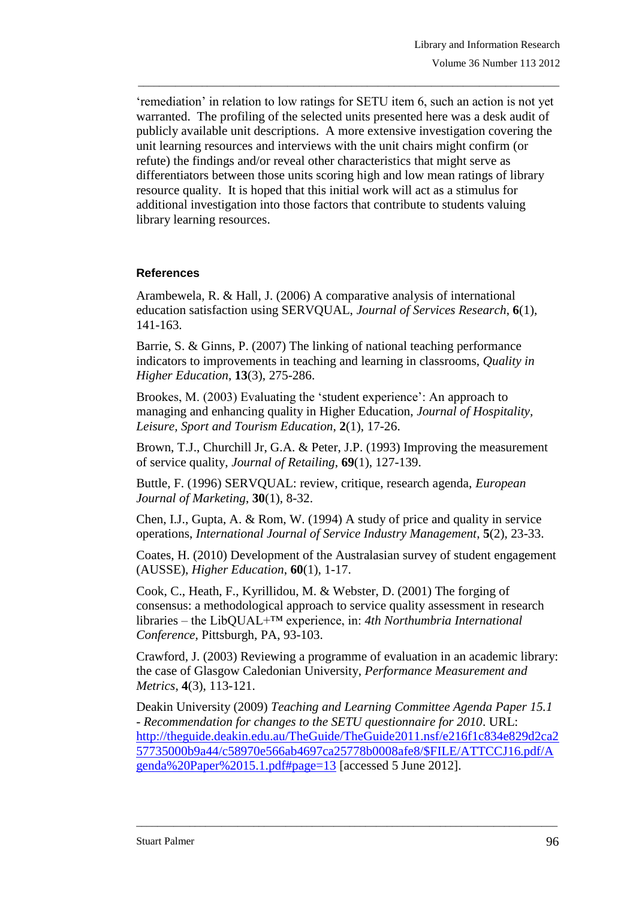'remediation' in relation to low ratings for SETU item 6, such an action is not yet warranted. The profiling of the selected units presented here was a desk audit of publicly available unit descriptions. A more extensive investigation covering the unit learning resources and interviews with the unit chairs might confirm (or refute) the findings and/or reveal other characteristics that might serve as differentiators between those units scoring high and low mean ratings of library resource quality. It is hoped that this initial work will act as a stimulus for additional investigation into those factors that contribute to students valuing library learning resources.

\_\_\_\_\_\_\_\_\_\_\_\_\_\_\_\_\_\_\_\_\_\_\_\_\_\_\_\_\_\_\_\_\_\_\_\_\_\_\_\_\_\_\_\_\_\_\_\_\_\_\_\_\_\_\_\_\_\_\_\_\_\_\_\_\_\_\_\_\_\_\_\_\_\_\_\_\_\_\_

## **References**

<span id="page-15-6"></span>Arambewela, R. & Hall, J. (2006) A comparative analysis of international education satisfaction using SERVQUAL, *Journal of Services Research*, **6**(1), 141-163.

<span id="page-15-5"></span>Barrie, S. & Ginns, P. (2007) The linking of national teaching performance indicators to improvements in teaching and learning in classrooms, *Quality in Higher Education*, **13**(3), 275-286.

<span id="page-15-7"></span>Brookes, M. (2003) Evaluating the 'student experience': An approach to managing and enhancing quality in Higher Education, *Journal of Hospitality, Leisure, Sport and Tourism Education*, **2**(1), 17-26.

<span id="page-15-2"></span>Brown, T.J., Churchill Jr, G.A. & Peter, J.P. (1993) Improving the measurement of service quality, *Journal of Retailing*, **69**(1), 127-139.

<span id="page-15-3"></span>Buttle, F. (1996) SERVQUAL: review, critique, research agenda, *European Journal of Marketing*, **30**(1), 8-32.

<span id="page-15-4"></span>Chen, I.J., Gupta, A. & Rom, W. (1994) A study of price and quality in service operations, *International Journal of Service Industry Management*, **5**(2), 23-33.

<span id="page-15-9"></span>Coates, H. (2010) Development of the Australasian survey of student engagement (AUSSE), *Higher Education*, **60**(1), 1-17.

<span id="page-15-0"></span>Cook, C., Heath, F., Kyrillidou, M. & Webster, D. (2001) The forging of consensus: a methodological approach to service quality assessment in research libraries – the LibQUAL+™ experience, in: *4th Northumbria International Conference*, Pittsburgh, PA, 93-103.

<span id="page-15-1"></span>Crawford, J. (2003) Reviewing a programme of evaluation in an academic library: the case of Glasgow Caledonian University, *Performance Measurement and Metrics*, **4**(3), 113-121.

<span id="page-15-8"></span>Deakin University (2009) *Teaching and Learning Committee Agenda Paper 15.1 - Recommendation for changes to the SETU questionnaire for 2010*. URL: [http://theguide.deakin.edu.au/TheGuide/TheGuide2011.nsf/e216f1c834e829d2ca2](http://theguide.deakin.edu.au/TheGuide/TheGuide2011.nsf/e216f1c834e829d2ca257735000b9a44/c58970e566ab4697ca25778b0008afe8/$FILE/ATTCCJ16.pdf/Agenda%20Paper%2015.1.pdf#page=13) [57735000b9a44/c58970e566ab4697ca25778b0008afe8/\\$FILE/ATTCCJ16.pdf/A](http://theguide.deakin.edu.au/TheGuide/TheGuide2011.nsf/e216f1c834e829d2ca257735000b9a44/c58970e566ab4697ca25778b0008afe8/$FILE/ATTCCJ16.pdf/Agenda%20Paper%2015.1.pdf#page=13) [genda%20Paper%2015.1.pdf#page=13](http://theguide.deakin.edu.au/TheGuide/TheGuide2011.nsf/e216f1c834e829d2ca257735000b9a44/c58970e566ab4697ca25778b0008afe8/$FILE/ATTCCJ16.pdf/Agenda%20Paper%2015.1.pdf#page=13) [accessed 5 June 2012].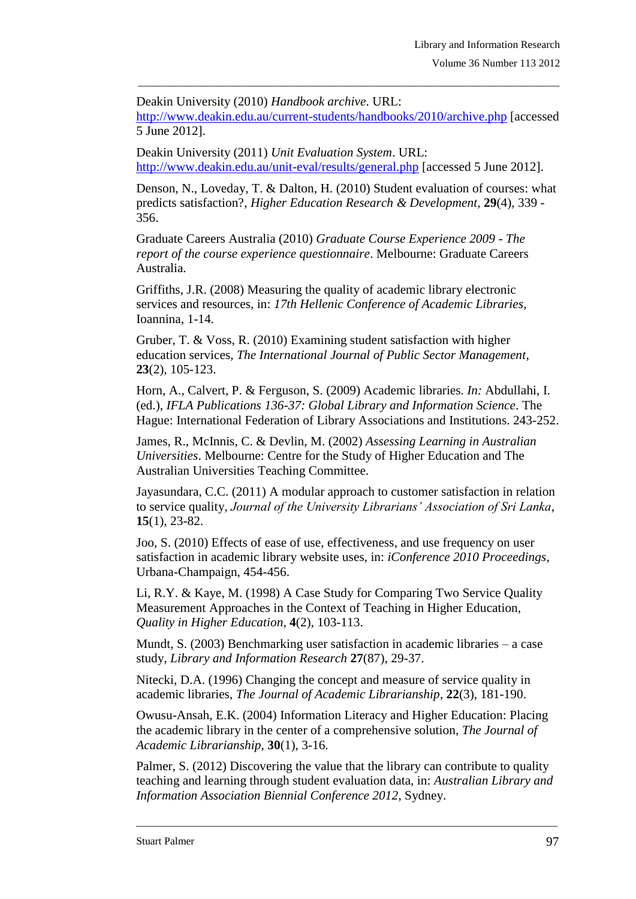<span id="page-16-11"></span>Deakin University (2010) *Handbook archive*. URL: <http://www.deakin.edu.au/current-students/handbooks/2010/archive.php> [accessed 5 June 2012].

\_\_\_\_\_\_\_\_\_\_\_\_\_\_\_\_\_\_\_\_\_\_\_\_\_\_\_\_\_\_\_\_\_\_\_\_\_\_\_\_\_\_\_\_\_\_\_\_\_\_\_\_\_\_\_\_\_\_\_\_\_\_\_\_\_\_\_\_\_\_\_\_\_\_\_\_\_\_\_

<span id="page-16-6"></span>Deakin University (2011) *Unit Evaluation System*. URL: <http://www.deakin.edu.au/unit-eval/results/general.php> [accessed 5 June 2012].

<span id="page-16-13"></span>Denson, N., Loveday, T. & Dalton, H. (2010) Student evaluation of courses: what predicts satisfaction?, *Higher Education Research & Development*, **29**(4), 339 - 356.

<span id="page-16-5"></span>Graduate Careers Australia (2010) *Graduate Course Experience 2009 - The report of the course experience questionnaire*. Melbourne: Graduate Careers Australia.

<span id="page-16-10"></span>Griffiths, J.R. (2008) Measuring the quality of academic library electronic services and resources, in: *17th Hellenic Conference of Academic Libraries*, Ioannina, 1-14.

<span id="page-16-7"></span>Gruber, T. & Voss, R. (2010) Examining student satisfaction with higher education services, *The International Journal of Public Sector Management*, **23**(2), 105-123.

<span id="page-16-0"></span>Horn, A., Calvert, P. & Ferguson, S. (2009) Academic libraries. *In:* Abdullahi, I. (ed.), *IFLA Publications 136-37: Global Library and Information Science*. The Hague: International Federation of Library Associations and Institutions. 243-252.

<span id="page-16-14"></span>James, R., McInnis, C. & Devlin, M. (2002) *Assessing Learning in Australian Universities*. Melbourne: Centre for the Study of Higher Education and The Australian Universities Teaching Committee.

<span id="page-16-3"></span>Jayasundara, C.C. (2011) A modular approach to customer satisfaction in relation to service quality, *Journal of the University Librarians' Association of Sri Lanka*, **15**(1), 23-82.

<span id="page-16-9"></span>Joo, S. (2010) Effects of ease of use, effectiveness, and use frequency on user satisfaction in academic library website uses, in: *iConference 2010 Proceedings*, Urbana-Champaign, 454-456.

<span id="page-16-1"></span>Li, R.Y. & Kaye, M. (1998) A Case Study for Comparing Two Service Quality Measurement Approaches in the Context of Teaching in Higher Education, *Quality in Higher Education*, **4**(2), 103-113.

<span id="page-16-4"></span>Mundt, S. (2003) Benchmarking user satisfaction in academic libraries – a case study, *Library and Information Research* **27**(87), 29-37.

<span id="page-16-2"></span>Nitecki, D.A. (1996) Changing the concept and measure of service quality in academic libraries, *The Journal of Academic Librarianship*, **22**(3), 181-190.

<span id="page-16-8"></span>Owusu-Ansah, E.K. (2004) Information Literacy and Higher Education: Placing the academic library in the center of a comprehensive solution, *The Journal of Academic Librarianship*, **30**(1), 3-16.

<span id="page-16-12"></span>Palmer, S. (2012) Discovering the value that the library can contribute to quality teaching and learning through student evaluation data, in: *Australian Library and Information Association Biennial Conference 2012*, Sydney.